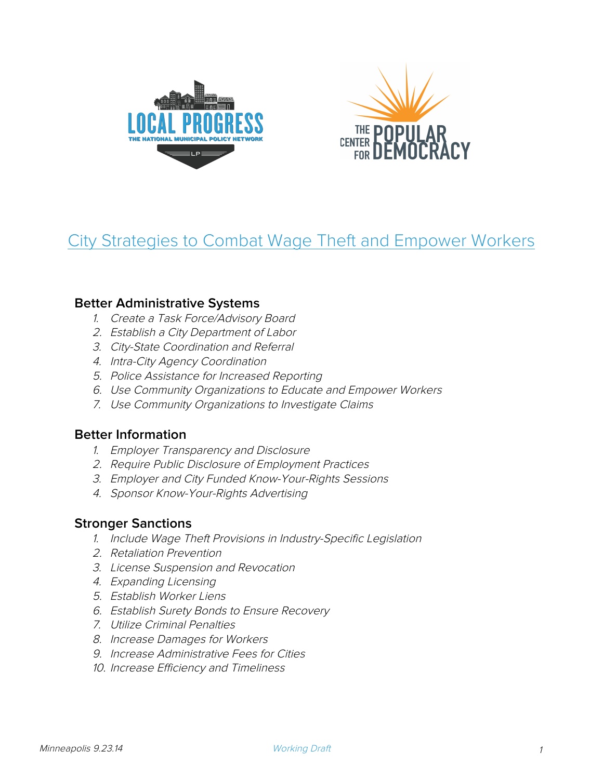



# City Strategies to Combat Wage Theft and Empower Workers

## **Better Administrative Systems**

- 1. Create a Task Force/Advisory Board
- 2. Establish a City Department of Labor
- 3. City-State Coordination and Referral
- 4. Intra-City Agency Coordination
- 5. Police Assistance for Increased Reporting
- 6. Use Community Organizations to Educate and Empower Workers
- 7. Use Community Organizations to Investigate Claims

# **Better Information**

- 1. Employer Transparency and Disclosure
- 2. Require Public Disclosure of Employment Practices
- 3. Employer and City Funded Know-Your-Rights Sessions
- 4. Sponsor Know-Your-Rights Advertising

## **Stronger Sanctions**

- 1. Include Wage Theft Provisions in Industry-Specific Legislation
- 2. Retaliation Prevention
- 3. License Suspension and Revocation
- 4. Expanding Licensing
- 5. Establish Worker Liens
- 6. Establish Surety Bonds to Ensure Recovery
- 7. Utilize Criminal Penalties
- 8. Increase Damages for Workers
- 9. Increase Administrative Fees for Cities
- 10. Increase Efficiency and Timeliness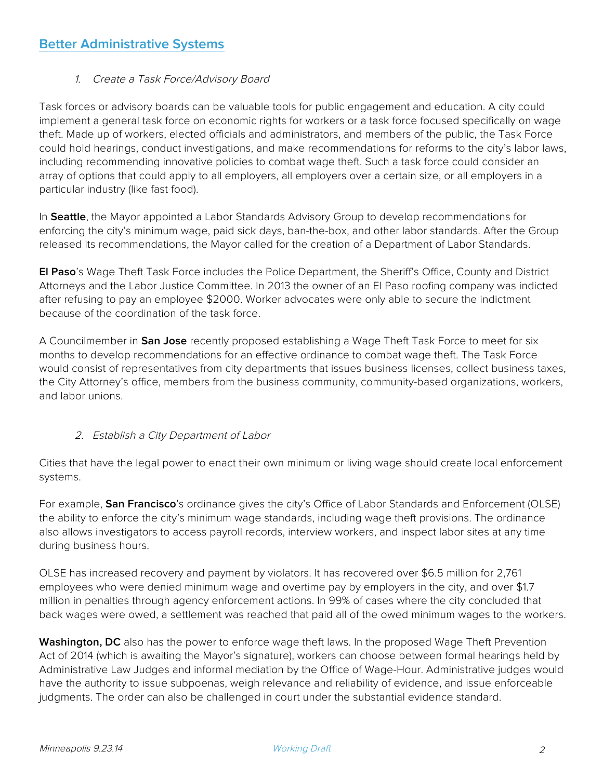## 1. Create a Task Force/Advisory Board

Task forces or advisory boards can be valuable tools for public engagement and education. A city could implement a general task force on economic rights for workers or a task force focused specifically on wage theft. Made up of workers, elected officials and administrators, and members of the public, the Task Force could hold hearings, conduct investigations, and make recommendations for reforms to the city's labor laws, including recommending innovative policies to combat wage theft. Such a task force could consider an array of options that could apply to all employers, all employers over a certain size, or all employers in a particular industry (like fast food).

In **Seattle**, the Mayor appointed a Labor Standards Advisory Group to develop recommendations for enforcing the city's minimum wage, paid sick days, ban-the-box, and other labor standards. After the Group released its recommendations, the Mayor called for the creation of a Department of Labor Standards.

**El Paso**'s Wage Theft Task Force includes the Police Department, the Sheriff's Office, County and District Attorneys and the Labor Justice Committee. In 2013 the owner of an El Paso roofing company was indicted after refusing to pay an employee \$2000. Worker advocates were only able to secure the indictment because of the coordination of the task force.

A Councilmember in **San Jose** recently proposed establishing a Wage Theft Task Force to meet for six months to develop recommendations for an effective ordinance to combat wage theft. The Task Force would consist of representatives from city departments that issues business licenses, collect business taxes, the City Attorney's office, members from the business community, community-based organizations, workers, and labor unions.

## 2. Establish a City Department of Labor

Cities that have the legal power to enact their own minimum or living wage should create local enforcement systems.

For example, **San Francisco**'s ordinance gives the city's Office of Labor Standards and Enforcement (OLSE) the ability to enforce the city's minimum wage standards, including wage theft provisions. The ordinance also allows investigators to access payroll records, interview workers, and inspect labor sites at any time during business hours.

OLSE has increased recovery and payment by violators. It has recovered over \$6.5 million for 2,761 employees who were denied minimum wage and overtime pay by employers in the city, and over \$1.7 million in penalties through agency enforcement actions. In 99% of cases where the city concluded that back wages were owed, a settlement was reached that paid all of the owed minimum wages to the workers.

**Washington, DC** also has the power to enforce wage theft laws. In the proposed Wage Theft Prevention Act of 2014 (which is awaiting the Mayor's signature), workers can choose between formal hearings held by Administrative Law Judges and informal mediation by the Office of Wage-Hour. Administrative judges would have the authority to issue subpoenas, weigh relevance and reliability of evidence, and issue enforceable judgments. The order can also be challenged in court under the substantial evidence standard.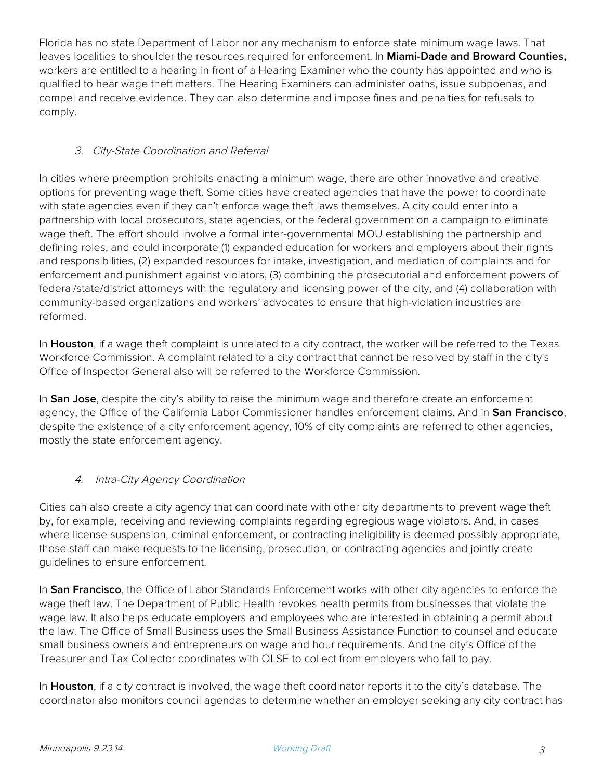Florida has no state Department of Labor nor any mechanism to enforce state minimum wage laws. That leaves localities to shoulder the resources required for enforcement. In **Miami-Dade and Broward Counties,** workers are entitled to a hearing in front of a Hearing Examiner who the county has appointed and who is qualified to hear wage theft matters. The Hearing Examiners can administer oaths, issue subpoenas, and compel and receive evidence. They can also determine and impose fines and penalties for refusals to comply.

## 3. City-State Coordination and Referral

In cities where preemption prohibits enacting a minimum wage, there are other innovative and creative options for preventing wage theft. Some cities have created agencies that have the power to coordinate with state agencies even if they can't enforce wage theft laws themselves. A city could enter into a partnership with local prosecutors, state agencies, or the federal government on a campaign to eliminate wage theft. The effort should involve a formal inter-governmental MOU establishing the partnership and defining roles, and could incorporate (1) expanded education for workers and employers about their rights and responsibilities, (2) expanded resources for intake, investigation, and mediation of complaints and for enforcement and punishment against violators, (3) combining the prosecutorial and enforcement powers of federal/state/district attorneys with the regulatory and licensing power of the city, and (4) collaboration with community-based organizations and workers' advocates to ensure that high-violation industries are reformed.

In **Houston**, if a wage theft complaint is unrelated to a city contract, the worker will be referred to the Texas Workforce Commission. A complaint related to a city contract that cannot be resolved by staff in the city's Office of Inspector General also will be referred to the Workforce Commission.

In **San Jose**, despite the city's ability to raise the minimum wage and therefore create an enforcement agency, the Office of the California Labor Commissioner handles enforcement claims. And in **San Francisco**, despite the existence of a city enforcement agency, 10% of city complaints are referred to other agencies, mostly the state enforcement agency.

## 4. Intra-City Agency Coordination

Cities can also create a city agency that can coordinate with other city departments to prevent wage theft by, for example, receiving and reviewing complaints regarding egregious wage violators. And, in cases where license suspension, criminal enforcement, or contracting ineligibility is deemed possibly appropriate, those staff can make requests to the licensing, prosecution, or contracting agencies and jointly create guidelines to ensure enforcement.

In **San Francisco**, the Office of Labor Standards Enforcement works with other city agencies to enforce the wage theft law. The Department of Public Health revokes health permits from businesses that violate the wage law. It also helps educate employers and employees who are interested in obtaining a permit about the law. The Office of Small Business uses the Small Business Assistance Function to counsel and educate small business owners and entrepreneurs on wage and hour requirements. And the city's Office of the Treasurer and Tax Collector coordinates with OLSE to collect from employers who fail to pay.

In **Houston**, if a city contract is involved, the wage theft coordinator reports it to the city's database. The coordinator also monitors council agendas to determine whether an employer seeking any city contract has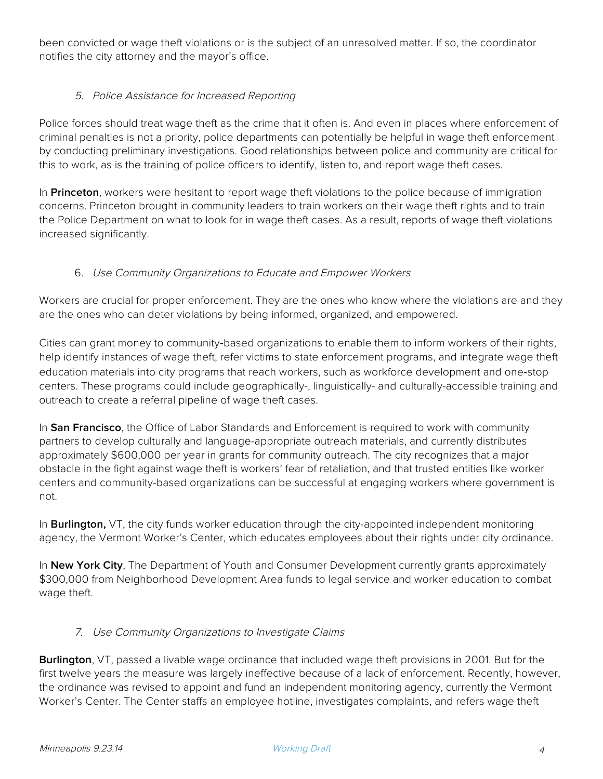been convicted or wage theft violations or is the subject of an unresolved matter. If so, the coordinator notifies the city attorney and the mayor's office.

#### 5. Police Assistance for Increased Reporting

Police forces should treat wage theft as the crime that it often is. And even in places where enforcement of criminal penalties is not a priority, police departments can potentially be helpful in wage theft enforcement by conducting preliminary investigations. Good relationships between police and community are critical for this to work, as is the training of police officers to identify, listen to, and report wage theft cases.

In **Princeton**, workers were hesitant to report wage theft violations to the police because of immigration concerns. Princeton brought in community leaders to train workers on their wage theft rights and to train the Police Department on what to look for in wage theft cases. As a result, reports of wage theft violations increased significantly.

#### 6. Use Community Organizations to Educate and Empower Workers

Workers are crucial for proper enforcement. They are the ones who know where the violations are and they are the ones who can deter violations by being informed, organized, and empowered.

Cities can grant money to community-based organizations to enable them to inform workers of their rights, help identify instances of wage theft, refer victims to state enforcement programs, and integrate wage theft education materials into city programs that reach workers, such as workforce development and one-stop centers. These programs could include geographically-, linguistically- and culturally-accessible training and outreach to create a referral pipeline of wage theft cases.

In **San Francisco**, the Office of Labor Standards and Enforcement is required to work with community partners to develop culturally and language-appropriate outreach materials, and currently distributes approximately \$600,000 per year in grants for community outreach. The city recognizes that a major obstacle in the fight against wage theft is workers' fear of retaliation, and that trusted entities like worker centers and community-based organizations can be successful at engaging workers where government is not.

In **Burlington,** VT, the city funds worker education through the city-appointed independent monitoring agency, the Vermont Worker's Center, which educates employees about their rights under city ordinance.

In **New York City**, The Department of Youth and Consumer Development currently grants approximately \$300,000 from Neighborhood Development Area funds to legal service and worker education to combat wage theft.

#### 7. Use Community Organizations to Investigate Claims

**Burlington**, VT, passed a livable wage ordinance that included wage theft provisions in 2001. But for the first twelve years the measure was largely ineffective because of a lack of enforcement. Recently, however, the ordinance was revised to appoint and fund an independent monitoring agency, currently the Vermont Worker's Center. The Center staffs an employee hotline, investigates complaints, and refers wage theft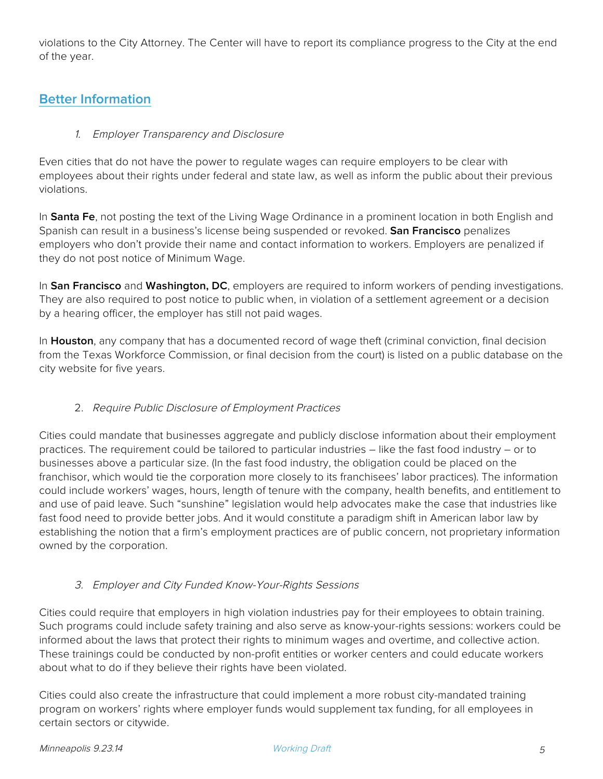violations to the City Attorney. The Center will have to report its compliance progress to the City at the end of the year.

# **Better Information**

#### 1. Employer Transparency and Disclosure

Even cities that do not have the power to regulate wages can require employers to be clear with employees about their rights under federal and state law, as well as inform the public about their previous violations.

In **Santa Fe**, not posting the text of the Living Wage Ordinance in a prominent location in both English and Spanish can result in a business's license being suspended or revoked. **San Francisco** penalizes employers who don't provide their name and contact information to workers. Employers are penalized if they do not post notice of Minimum Wage.

In **San Francisco** and **Washington, DC**, employers are required to inform workers of pending investigations. They are also required to post notice to public when, in violation of a settlement agreement or a decision by a hearing officer, the employer has still not paid wages.

In **Houston**, any company that has a documented record of wage theft (criminal conviction, final decision from the Texas Workforce Commission, or final decision from the court) is listed on a public database on the city website for five years.

## 2. Require Public Disclosure of Employment Practices

Cities could mandate that businesses aggregate and publicly disclose information about their employment practices. The requirement could be tailored to particular industries – like the fast food industry – or to businesses above a particular size. (In the fast food industry, the obligation could be placed on the franchisor, which would tie the corporation more closely to its franchisees' labor practices). The information could include workers' wages, hours, length of tenure with the company, health benefits, and entitlement to and use of paid leave. Such "sunshine" legislation would help advocates make the case that industries like fast food need to provide better jobs. And it would constitute a paradigm shift in American labor law by establishing the notion that a firm's employment practices are of public concern, not proprietary information owned by the corporation.

#### 3. Employer and City Funded Know-Your-Rights Sessions

Cities could require that employers in high violation industries pay for their employees to obtain training. Such programs could include safety training and also serve as know-your-rights sessions: workers could be informed about the laws that protect their rights to minimum wages and overtime, and collective action. These trainings could be conducted by non-profit entities or worker centers and could educate workers about what to do if they believe their rights have been violated.

Cities could also create the infrastructure that could implement a more robust city-mandated training program on workers' rights where employer funds would supplement tax funding, for all employees in certain sectors or citywide.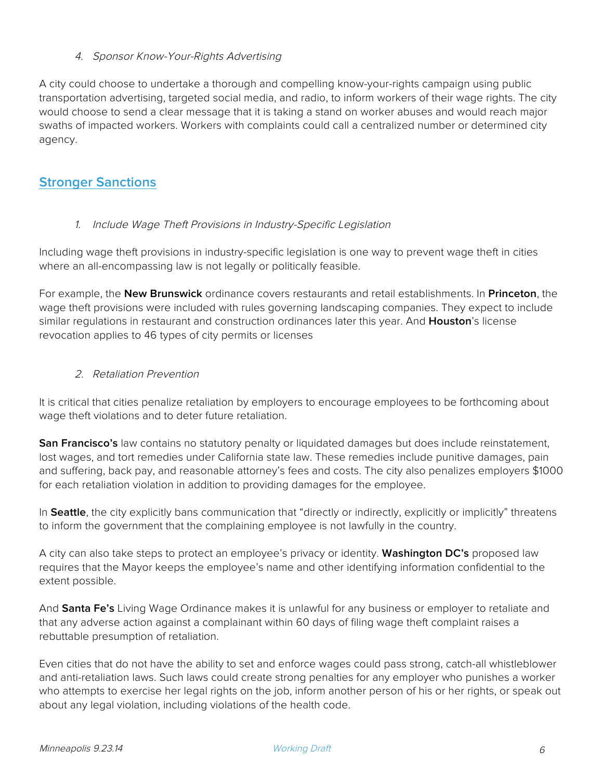#### 4. Sponsor Know-Your-Rights Advertising

A city could choose to undertake a thorough and compelling know-your-rights campaign using public transportation advertising, targeted social media, and radio, to inform workers of their wage rights. The city would choose to send a clear message that it is taking a stand on worker abuses and would reach major swaths of impacted workers. Workers with complaints could call a centralized number or determined city agency.

# **Stronger Sanctions**

#### 1. Include Wage Theft Provisions in Industry-Specific Legislation

Including wage theft provisions in industry-specific legislation is one way to prevent wage theft in cities where an all-encompassing law is not legally or politically feasible.

For example, the **New Brunswick** ordinance covers restaurants and retail establishments. In **Princeton**, the wage theft provisions were included with rules governing landscaping companies. They expect to include similar regulations in restaurant and construction ordinances later this year. And **Houston**'s license revocation applies to 46 types of city permits or licenses

#### 2. Retaliation Prevention

It is critical that cities penalize retaliation by employers to encourage employees to be forthcoming about wage theft violations and to deter future retaliation.

**San Francisco's** law contains no statutory penalty or liquidated damages but does include reinstatement, lost wages, and tort remedies under California state law. These remedies include punitive damages, pain and suffering, back pay, and reasonable attorney's fees and costs. The city also penalizes employers \$1000 for each retaliation violation in addition to providing damages for the employee.

In **Seattle**, the city explicitly bans communication that "directly or indirectly, explicitly or implicitly" threatens to inform the government that the complaining employee is not lawfully in the country.

A city can also take steps to protect an employee's privacy or identity. **Washington DC's** proposed law requires that the Mayor keeps the employee's name and other identifying information confidential to the extent possible.

And **Santa Fe's** Living Wage Ordinance makes it is unlawful for any business or employer to retaliate and that any adverse action against a complainant within 60 days of filing wage theft complaint raises a rebuttable presumption of retaliation.

Even cities that do not have the ability to set and enforce wages could pass strong, catch-all whistleblower and anti-retaliation laws. Such laws could create strong penalties for any employer who punishes a worker who attempts to exercise her legal rights on the job, inform another person of his or her rights, or speak out about any legal violation, including violations of the health code.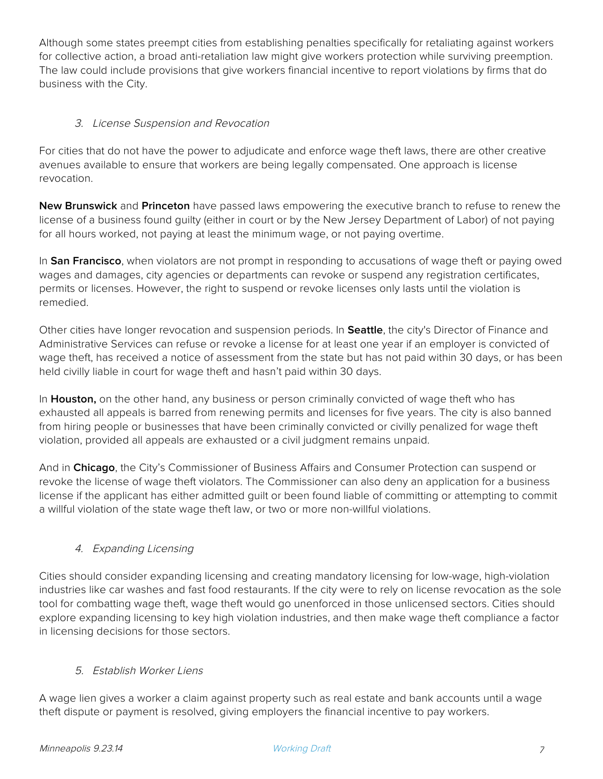Although some states preempt cities from establishing penalties specifically for retaliating against workers for collective action, a broad anti-retaliation law might give workers protection while surviving preemption. The law could include provisions that give workers financial incentive to report violations by firms that do business with the City.

## 3. License Suspension and Revocation

For cities that do not have the power to adjudicate and enforce wage theft laws, there are other creative avenues available to ensure that workers are being legally compensated. One approach is license revocation.

**New Brunswick** and **Princeton** have passed laws empowering the executive branch to refuse to renew the license of a business found guilty (either in court or by the New Jersey Department of Labor) of not paying for all hours worked, not paying at least the minimum wage, or not paying overtime.

In **San Francisco**, when violators are not prompt in responding to accusations of wage theft or paying owed wages and damages, city agencies or departments can revoke or suspend any registration certificates, permits or licenses. However, the right to suspend or revoke licenses only lasts until the violation is remedied.

Other cities have longer revocation and suspension periods. In **Seattle**, the city's Director of Finance and Administrative Services can refuse or revoke a license for at least one year if an employer is convicted of wage theft, has received a notice of assessment from the state but has not paid within 30 days, or has been held civilly liable in court for wage theft and hasn't paid within 30 days.

In **Houston,** on the other hand, any business or person criminally convicted of wage theft who has exhausted all appeals is barred from renewing permits and licenses for five years. The city is also banned from hiring people or businesses that have been criminally convicted or civilly penalized for wage theft violation, provided all appeals are exhausted or a civil judgment remains unpaid.

And in **Chicago**, the City's Commissioner of Business Affairs and Consumer Protection can suspend or revoke the license of wage theft violators. The Commissioner can also deny an application for a business license if the applicant has either admitted guilt or been found liable of committing or attempting to commit a willful violation of the state wage theft law, or two or more non-willful violations.

## 4. Expanding Licensing

Cities should consider expanding licensing and creating mandatory licensing for low-wage, high-violation industries like car washes and fast food restaurants. If the city were to rely on license revocation as the sole tool for combatting wage theft, wage theft would go unenforced in those unlicensed sectors. Cities should explore expanding licensing to key high violation industries, and then make wage theft compliance a factor in licensing decisions for those sectors.

## 5. Establish Worker Liens

A wage lien gives a worker a claim against property such as real estate and bank accounts until a wage theft dispute or payment is resolved, giving employers the financial incentive to pay workers.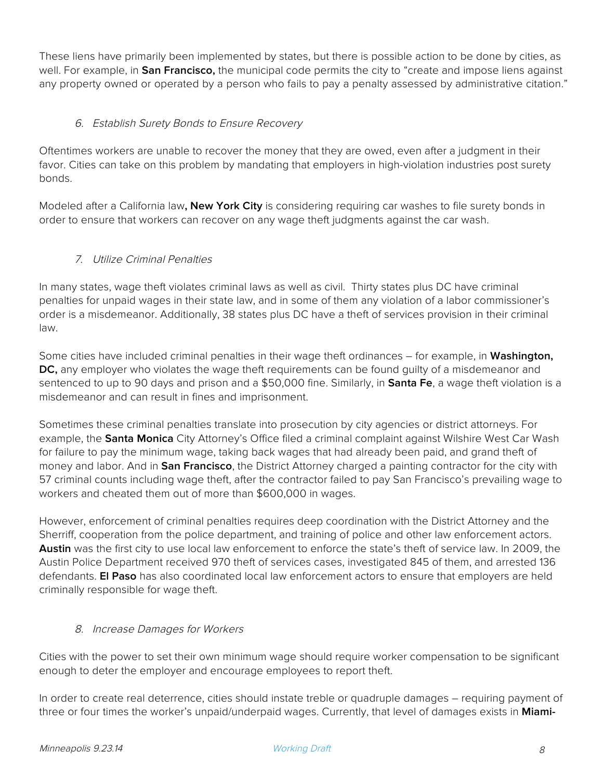These liens have primarily been implemented by states, but there is possible action to be done by cities, as well. For example, in **San Francisco,** the municipal code permits the city to "create and impose liens against any property owned or operated by a person who fails to pay a penalty assessed by administrative citation."

## 6. Establish Surety Bonds to Ensure Recovery

Oftentimes workers are unable to recover the money that they are owed, even after a judgment in their favor. Cities can take on this problem by mandating that employers in high-violation industries post surety bonds.

Modeled after a California law**, New York City** is considering requiring car washes to file surety bonds in order to ensure that workers can recover on any wage theft judgments against the car wash.

#### 7. Utilize Criminal Penalties

In many states, wage theft violates criminal laws as well as civil. Thirty states plus DC have criminal penalties for unpaid wages in their state law, and in some of them any violation of a labor commissioner's order is a misdemeanor. Additionally, 38 states plus DC have a theft of services provision in their criminal law.

Some cities have included criminal penalties in their wage theft ordinances – for example, in **Washington, DC,** any employer who violates the wage theft requirements can be found guilty of a misdemeanor and sentenced to up to 90 days and prison and a \$50,000 fine. Similarly, in **Santa Fe**, a wage theft violation is a misdemeanor and can result in fines and imprisonment.

Sometimes these criminal penalties translate into prosecution by city agencies or district attorneys. For example, the **Santa Monica** City Attorney's Office filed a criminal complaint against Wilshire West Car Wash for failure to pay the minimum wage, taking back wages that had already been paid, and grand theft of money and labor. And in **San Francisco**, the District Attorney charged a painting contractor for the city with 57 criminal counts including wage theft, after the contractor failed to pay San Francisco's prevailing wage to workers and cheated them out of more than \$600,000 in wages.

However, enforcement of criminal penalties requires deep coordination with the District Attorney and the Sherriff, cooperation from the police department, and training of police and other law enforcement actors. **Austin** was the first city to use local law enforcement to enforce the state's theft of service law. In 2009, the Austin Police Department received 970 theft of services cases, investigated 845 of them, and arrested 136 defendants. **El Paso** has also coordinated local law enforcement actors to ensure that employers are held criminally responsible for wage theft.

#### 8. Increase Damages for Workers

Cities with the power to set their own minimum wage should require worker compensation to be significant enough to deter the employer and encourage employees to report theft.

In order to create real deterrence, cities should instate treble or quadruple damages – requiring payment of three or four times the worker's unpaid/underpaid wages. Currently, that level of damages exists in **Miami-**